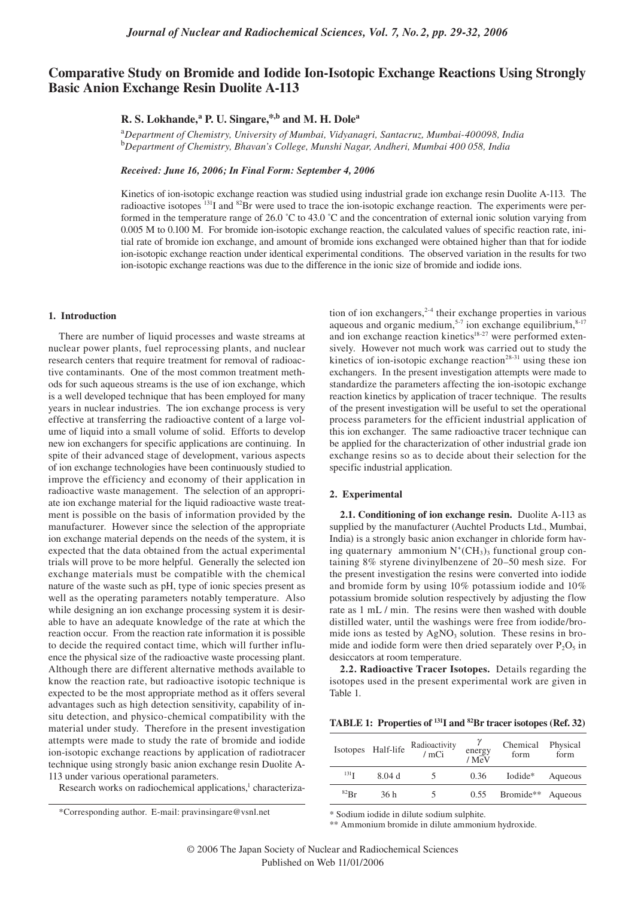# **Comparative Study on Bromide and Iodide Ion-Isotopic Exchange Reactions Using Strongly Basic Anion Exchange Resin Duolite A-113**

## **R. S. Lokhande,<sup>a</sup> P. U. Singare,\*,b and M. H. Dolea**

<sup>a</sup>*Department of Chemistry, University of Mumbai, Vidyanagri, Santacruz, Mumbai-400098, India* <sup>b</sup>*Department of Chemistry, Bhavan's College, Munshi Nagar, Andheri, Mumbai 400 058, India*

## *Received: June 16, 2006; In Final Form: September 4, 2006*

Kinetics of ion-isotopic exchange reaction was studied using industrial grade ion exchange resin Duolite A-113. The radioactive isotopes  $^{131}$ I and  $^{82}$ Br were used to trace the ion-isotopic exchange reaction. The experiments were performed in the temperature range of 26.0 ˚C to 43.0 ˚C and the concentration of external ionic solution varying from 0.005 M to 0.100 M. For bromide ion-isotopic exchange reaction, the calculated values of specific reaction rate, initial rate of bromide ion exchange, and amount of bromide ions exchanged were obtained higher than that for iodide ion-isotopic exchange reaction under identical experimental conditions. The observed variation in the results for two ion-isotopic exchange reactions was due to the difference in the ionic size of bromide and iodide ions.

## **1. Introduction**

There are number of liquid processes and waste streams at nuclear power plants, fuel reprocessing plants, and nuclear research centers that require treatment for removal of radioactive contaminants. One of the most common treatment methods for such aqueous streams is the use of ion exchange, which is a well developed technique that has been employed for many years in nuclear industries. The ion exchange process is very effective at transferring the radioactive content of a large volume of liquid into a small volume of solid. Efforts to develop new ion exchangers for specific applications are continuing. In spite of their advanced stage of development, various aspects of ion exchange technologies have been continuously studied to improve the efficiency and economy of their application in radioactive waste management. The selection of an appropriate ion exchange material for the liquid radioactive waste treatment is possible on the basis of information provided by the manufacturer. However since the selection of the appropriate ion exchange material depends on the needs of the system, it is expected that the data obtained from the actual experimental trials will prove to be more helpful. Generally the selected ion exchange materials must be compatible with the chemical nature of the waste such as pH, type of ionic species present as well as the operating parameters notably temperature. Also while designing an ion exchange processing system it is desirable to have an adequate knowledge of the rate at which the reaction occur. From the reaction rate information it is possible to decide the required contact time, which will further influence the physical size of the radioactive waste processing plant. Although there are different alternative methods available to know the reaction rate, but radioactive isotopic technique is expected to be the most appropriate method as it offers several advantages such as high detection sensitivity, capability of insitu detection, and physico-chemical compatibility with the material under study. Therefore in the present investigation attempts were made to study the rate of bromide and iodide ion-isotopic exchange reactions by application of radiotracer technique using strongly basic anion exchange resin Duolite A-113 under various operational parameters.

Research works on radiochemical applications,<sup>1</sup> characteriza-

\*Corresponding author. E-mail: pravinsingare@vsnl.net

tion of ion exchangers, $2-4$  their exchange properties in various aqueous and organic medium,<sup>5-7</sup> ion exchange equilibrium, $8-17$ and ion exchange reaction kinetics<sup>18-27</sup> were performed extensively. However not much work was carried out to study the kinetics of ion-isotopic exchange reaction<sup>28-31</sup> using these ion exchangers. In the present investigation attempts were made to standardize the parameters affecting the ion-isotopic exchange reaction kinetics by application of tracer technique. The results of the present investigation will be useful to set the operational process parameters for the efficient industrial application of this ion exchanger. The same radioactive tracer technique can be applied for the characterization of other industrial grade ion exchange resins so as to decide about their selection for the specific industrial application.

## **2. Experimental**

**2.1. Conditioning of ion exchange resin.** Duolite A-113 as supplied by the manufacturer (Auchtel Products Ltd., Mumbai, India) is a strongly basic anion exchanger in chloride form having quaternary ammonium  $N^+(CH_3)_3$  functional group containing 8% styrene divinylbenzene of 20–50 mesh size. For the present investigation the resins were converted into iodide and bromide form by using 10% potassium iodide and 10% potassium bromide solution respectively by adjusting the flow rate as 1 mL / min. The resins were then washed with double distilled water, until the washings were free from iodide/bromide ions as tested by  $AgNO<sub>3</sub>$  solution. These resins in bromide and iodide form were then dried separately over  $P_2O_5$  in desiccators at room temperature.

**2.2. Radioactive Tracer Isotopes.** Details regarding the isotopes used in the present experimental work are given in Table 1.

**TABLE 1: Properties of 131I and 82Br tracer isotopes (Ref. 32)**

|                  | Isotopes Half-life | Radioactivity<br>/mCi | energy<br>/ MeV | Chemical<br>form | Physical<br>form |
|------------------|--------------------|-----------------------|-----------------|------------------|------------------|
| 131 <sub>T</sub> | 8.04 d             |                       | 0.36            | lodide*          | Aqueous          |
| ${}^{82}Br$      | 36 h               |                       | 0.55            | Bromide**        | Aqueous          |

\* Sodium iodide in dilute sodium sulphite.

\*\* Ammonium bromide in dilute ammonium hydroxide.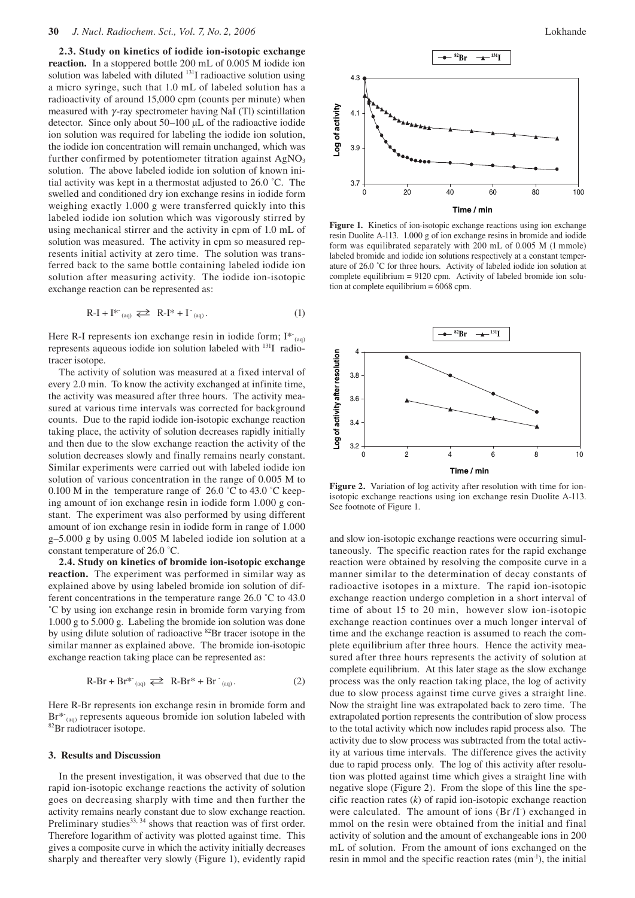**2.3. Study on kinetics of iodide ion-isotopic exchange reaction.** In a stoppered bottle 200 mL of 0.005 M iodide ion solution was labeled with diluted <sup>131</sup>I radioactive solution using a micro syringe, such that 1.0 mL of labeled solution has a radioactivity of around 15,000 cpm (counts per minute) when measured with  $\gamma$ -ray spectrometer having NaI (Tl) scintillation detector. Since only about 50–100 µL of the radioactive iodide ion solution was required for labeling the iodide ion solution, the iodide ion concentration will remain unchanged, which was further confirmed by potentiometer titration against  $AgNO<sub>3</sub>$ solution. The above labeled iodide ion solution of known initial activity was kept in a thermostat adjusted to 26.0 ˚C. The swelled and conditioned dry ion exchange resins in iodide form weighing exactly 1.000 g were transferred quickly into this labeled iodide ion solution which was vigorously stirred by using mechanical stirrer and the activity in cpm of 1.0 mL of solution was measured. The activity in cpm so measured represents initial activity at zero time. The solution was transferred back to the same bottle containing labeled iodide ion solution after measuring activity. The iodide ion-isotopic exchange reaction can be represented as:

$$
R-I + I^* \quad (aq) \iff R-I^* + I \quad (aq). \tag{1}
$$

Here R-I represents ion exchange resin in iodide form;  $I^*_{(aq)}$ represents aqueous iodide ion solution labeled with 131I radiotracer isotope.

The activity of solution was measured at a fixed interval of every 2.0 min. To know the activity exchanged at infinite time, the activity was measured after three hours. The activity measured at various time intervals was corrected for background counts. Due to the rapid iodide ion-isotopic exchange reaction taking place, the activity of solution decreases rapidly initially and then due to the slow exchange reaction the activity of the solution decreases slowly and finally remains nearly constant. Similar experiments were carried out with labeled iodide ion solution of various concentration in the range of 0.005 M to 0.100 M in the temperature range of 26.0 ˚C to 43.0 ˚C keeping amount of ion exchange resin in iodide form 1.000 g constant. The experiment was also performed by using different amount of ion exchange resin in iodide form in range of 1.000 g–5.000 g by using 0.005 M labeled iodide ion solution at a constant temperature of 26.0 ˚C.

**2.4. Study on kinetics of bromide ion-isotopic exchange reaction.** The experiment was performed in similar way as explained above by using labeled bromide ion solution of different concentrations in the temperature range 26.0 ˚C to 43.0 ˚C by using ion exchange resin in bromide form varying from 1.000 g to 5.000 g. Labeling the bromide ion solution was done by using dilute solution of radioactive <sup>82</sup>Br tracer isotope in the similar manner as explained above. The bromide ion-isotopic exchange reaction taking place can be represented as:

$$
R-Br + Br^* \underset{(aq)}{\iff} R-Br^* + Br \underset{(aq)}{\cdot}.
$$
 (2)

Here R-Br represents ion exchange resin in bromide form and Br<sup>\*-</sup><sub>(aq)</sub> represents aqueous bromide ion solution labeled with <sup>82</sup>Br radiotracer isotope.

#### **3. Results and Discussion**

In the present investigation, it was observed that due to the rapid ion-isotopic exchange reactions the activity of solution goes on decreasing sharply with time and then further the activity remains nearly constant due to slow exchange reaction. Preliminary studies $^{33, 34}$  shows that reaction was of first order. Therefore logarithm of activity was plotted against time. This gives a composite curve in which the activity initially decreases sharply and thereafter very slowly (Figure 1), evidently rapid



**Figure 1.** Kinetics of ion-isotopic exchange reactions using ion exchange resin Duolite A-113. 1.000 g of ion exchange resins in bromide and iodide form was equilibrated separately with 200 mL of 0.005 M (1 mmole) labeled bromide and iodide ion solutions respectively at a constant temperature of 26.0 ˚C for three hours. Activity of labeled iodide ion solution at complete equilibrium = 9120 cpm. Activity of labeled bromide ion solution at complete equilibrium = 6068 cpm.



**Figure 2.** Variation of log activity after resolution with time for ionisotopic exchange reactions using ion exchange resin Duolite A-113. See footnote of Figure 1.

and slow ion-isotopic exchange reactions were occurring simultaneously. The specific reaction rates for the rapid exchange reaction were obtained by resolving the composite curve in a manner similar to the determination of decay constants of radioactive isotopes in a mixture. The rapid ion-isotopic exchange reaction undergo completion in a short interval of time of about 15 to 20 min, however slow ion-isotopic exchange reaction continues over a much longer interval of time and the exchange reaction is assumed to reach the complete equilibrium after three hours. Hence the activity measured after three hours represents the activity of solution at complete equilibrium. At this later stage as the slow exchange process was the only reaction taking place, the log of activity due to slow process against time curve gives a straight line. Now the straight line was extrapolated back to zero time. The extrapolated portion represents the contribution of slow process to the total activity which now includes rapid process also. The activity due to slow process was subtracted from the total activity at various time intervals. The difference gives the activity due to rapid process only. The log of this activity after resolution was plotted against time which gives a straight line with negative slope (Figure 2). From the slope of this line the specific reaction rates (*k*) of rapid ion-isotopic exchange reaction were calculated. The amount of ions (Br/I) exchanged in mmol on the resin were obtained from the initial and final activity of solution and the amount of exchangeable ions in 200 mL of solution. From the amount of ions exchanged on the resin in mmol and the specific reaction rates (min<sup>-1</sup>), the initial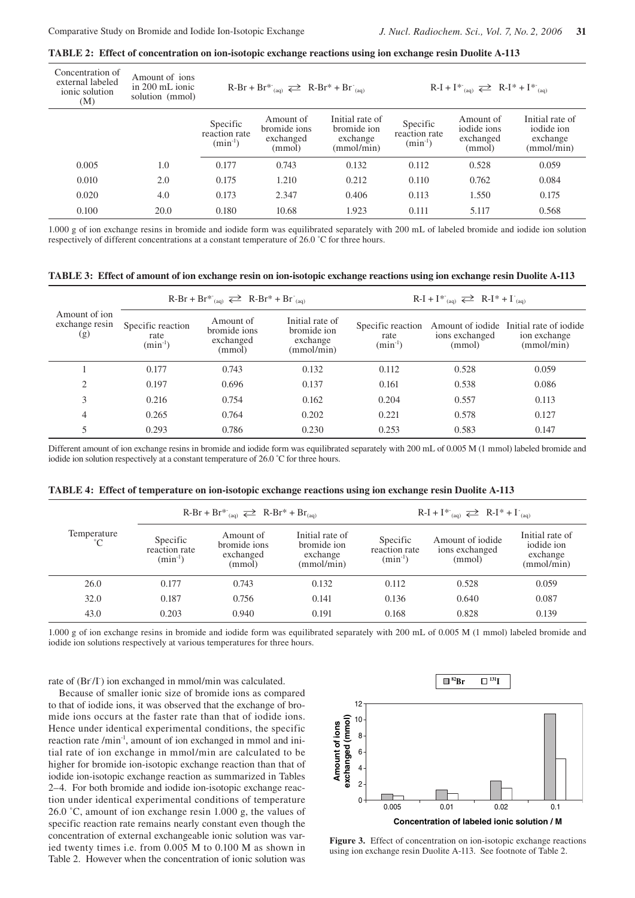**TABLE 2: Effect of concentration on ion-isotopic exchange reactions using ion exchange resin Duolite A-113**

| Concentration of<br>external labeled<br>ionic solution<br>(M) | Amount of ions<br>in 200 mL ionic<br>solution (mmol) | $R-Br + Br^*_{(aq)} \rightleftarrows R-Br^* + Br^*_{(aq)}$ |                                                  |                                                          | $R-I + I^*_{(aq)} \rightleftarrows R-I^* + I^*_{(aq)}$ |                                                 |                                                         |
|---------------------------------------------------------------|------------------------------------------------------|------------------------------------------------------------|--------------------------------------------------|----------------------------------------------------------|--------------------------------------------------------|-------------------------------------------------|---------------------------------------------------------|
|                                                               |                                                      | Specific<br>reaction rate<br>$(min^{-1})$                  | Amount of<br>bromide ions<br>exchanged<br>(mmol) | Initial rate of<br>bromide ion<br>exchange<br>(mmol/min) | Specific<br>reaction rate<br>$(min^{-1})$              | Amount of<br>iodide ions<br>exchanged<br>(mmol) | Initial rate of<br>iodide ion<br>exchange<br>(mmol/min) |
| 0.005                                                         | 1.0                                                  | 0.177                                                      | 0.743                                            | 0.132                                                    | 0.112                                                  | 0.528                                           | 0.059                                                   |
| 0.010                                                         | 2.0                                                  | 0.175                                                      | 1.210                                            | 0.212                                                    | 0.110                                                  | 0.762                                           | 0.084                                                   |
| 0.020                                                         | 4.0                                                  | 0.173                                                      | 2.347                                            | 0.406                                                    | 0.113                                                  | 1.550                                           | 0.175                                                   |
| 0.100                                                         | 20.0                                                 | 0.180                                                      | 10.68                                            | 1.923                                                    | 0.111                                                  | 5.117                                           | 0.568                                                   |

1.000 g of ion exchange resins in bromide and iodide form was equilibrated separately with 200 mL of labeled bromide and iodide ion solution respectively of different concentrations at a constant temperature of 26.0 ˚C for three hours.

**TABLE 3: Effect of amount of ion exchange resin on ion-isotopic exchange reactions using ion exchange resin Duolite A-113**

| Amount of ion<br>exchange resin<br>(g) |                                           | $R-Br + Br^*_{(aq)} \rightleftarrows R-Br^* + Br_{(aq)}$ |                                                          | $R-I + I^*_{(aq)} \rightleftarrows R-I^* + I_{(aq)}$ |                                              |                                                      |  |
|----------------------------------------|-------------------------------------------|----------------------------------------------------------|----------------------------------------------------------|------------------------------------------------------|----------------------------------------------|------------------------------------------------------|--|
|                                        | Specific reaction<br>rate<br>$(min^{-1})$ | Amount of<br>bromide ions<br>exchanged<br>(mmol)         | Initial rate of<br>bromide ion<br>exchange<br>(mmol/min) | Specific reaction<br>rate<br>$(min^{-1})$            | Amount of iodide<br>ions exchanged<br>(mmol) | Initial rate of iodide<br>ion exchange<br>(mmol/min) |  |
|                                        | 0.177                                     | 0.743                                                    | 0.132                                                    | 0.112                                                | 0.528                                        | 0.059                                                |  |
| $\overline{c}$                         | 0.197                                     | 0.696                                                    | 0.137                                                    | 0.161                                                | 0.538                                        | 0.086                                                |  |
| 3                                      | 0.216                                     | 0.754                                                    | 0.162                                                    | 0.204                                                | 0.557                                        | 0.113                                                |  |
| 4                                      | 0.265                                     | 0.764                                                    | 0.202                                                    | 0.221                                                | 0.578                                        | 0.127                                                |  |
|                                        | 0.293                                     | 0.786                                                    | 0.230                                                    | 0.253                                                | 0.583                                        | 0.147                                                |  |

Different amount of ion exchange resins in bromide and iodide form was equilibrated separately with 200 mL of 0.005 M (1 mmol) labeled bromide and iodide ion solution respectively at a constant temperature of 26.0 ˚C for three hours.

| Temperature<br>°C |                                           | $R-Br + Br^*_{(aq)} \rightleftarrows R-Br^* + Br_{(aq)}$ |                                                          | $R-I + I^*_{(aq)} \rightleftarrows R-I^* + I_{(aq)}$ |                                              |                                                         |  |
|-------------------|-------------------------------------------|----------------------------------------------------------|----------------------------------------------------------|------------------------------------------------------|----------------------------------------------|---------------------------------------------------------|--|
|                   | Specific<br>reaction rate<br>$(min^{-1})$ | Amount of<br>bromide ions<br>exchanged<br>(mmol)         | Initial rate of<br>bromide ion<br>exchange<br>(mmol/min) | Specific<br>reaction rate<br>$(min^{-1})$            | Amount of iodide<br>ions exchanged<br>(mmol) | Initial rate of<br>iodide ion<br>exchange<br>(mmol/min) |  |
| 26.0              | 0.177                                     | 0.743                                                    | 0.132                                                    | 0.112                                                | 0.528                                        | 0.059                                                   |  |
| 32.0              | 0.187                                     | 0.756                                                    | 0.141                                                    | 0.136                                                | 0.640                                        | 0.087                                                   |  |
| 43.0              | 0.203                                     | 0.940                                                    | 0.191                                                    | 0.168                                                | 0.828                                        | 0.139                                                   |  |

## **TABLE 4: Effect of temperature on ion-isotopic exchange reactions using ion exchange resin Duolite A-113**

1.000 g of ion exchange resins in bromide and iodide form was equilibrated separately with 200 mL of 0.005 M (1 mmol) labeled bromide and iodide ion solutions respectively at various temperatures for three hours.

rate of (Br/I) ion exchanged in mmol/min was calculated.

Because of smaller ionic size of bromide ions as compared to that of iodide ions, it was observed that the exchange of bromide ions occurs at the faster rate than that of iodide ions. Hence under identical experimental conditions, the specific reaction rate /min<sup>-1</sup>, amount of ion exchanged in mmol and initial rate of ion exchange in mmol/min are calculated to be higher for bromide ion-isotopic exchange reaction than that of iodide ion-isotopic exchange reaction as summarized in Tables 2–4. For both bromide and iodide ion-isotopic exchange reaction under identical experimental conditions of temperature 26.0 ˚C, amount of ion exchange resin 1.000 g, the values of specific reaction rate remains nearly constant even though the concentration of external exchangeable ionic solution was varied twenty times i.e. from 0.005 M to 0.100 M as shown in Table 2. However when the concentration of ionic solution was



**Figure 3.** Effect of concentration on ion-isotopic exchange reactions using ion exchange resin Duolite A-113. See footnote of Table 2.